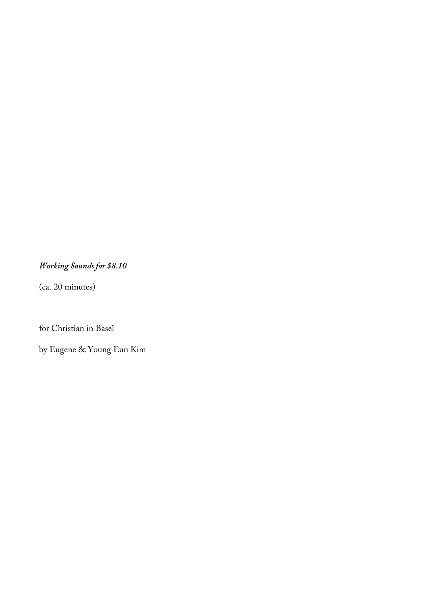# *Working Sounds for \$8.10*

(ca. 20 minutes)

for Christian in Basel

by Eugene & Young Eun Kim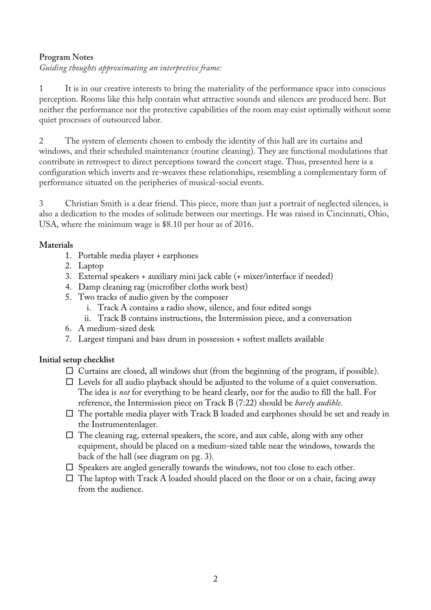## **Program Notes**

*Guiding thoughts approximating an interpretive frame:*

1 It is in our creative interests to bring the materiality of the performance space into conscious perception. Rooms like this help contain what attractive sounds and silences are produced here. But neither the performance nor the protective capabilities of the room may exist optimally without some quiet processes of outsourced labor.

2 The system of elements chosen to embody the identity of this hall are its curtains and windows, and their scheduled maintenance (routine cleaning). They are functional modulations that contribute in retrospect to direct perceptions toward the concert stage. Thus, presented here is a configuration which inverts and re-weaves these relationships, resembling a complementary form of performance situated on the peripheries of musical-social events.

3 Christian Smith is a dear friend. This piece, more than just a portrait of neglected silences, is also a dedication to the modes of solitude between our meetings. He was raised in Cincinnati, Ohio, USA, where the minimum wage is \$8.10 per hour as of 2016.

## **Materials**

- 1. Portable media player + earphones
- 2. Laptop
- 3. External speakers + auxiliary mini jack cable (+ mixer/interface if needed)
- 4. Damp cleaning rag (microfiber cloths work best)
- 5. Two tracks of audio given by the composer
	- i. Track A contains a radio show, silence, and four edited songs
	- ii. Track B contains instructions, the Intermission piece, and a conversation
- 6. A medium-sized desk
- 7. Largest timpani and bass drum in possession + softest mallets available

## **Initial setup checklist**

- $\square$  Curtains are closed, all windows shut (from the beginning of the program, if possible).
- $\Box$  Levels for all audio playback should be adjusted to the volume of a quiet conversation. The idea is *not* for everything to be heard clearly, nor for the audio to fill the hall. For reference, the Intermission piece on Track B (7:22) should be *barely audible*.
- $\Box$  The portable media player with Track B loaded and earphones should be set and ready in the Instrumentenlager.
- $\Box$  The cleaning rag, external speakers, the score, and aux cable, along with any other equipment, should be placed on a medium-sized table near the windows, towards the back of the hall (see diagram on pg. 3).
- $\square$  Speakers are angled generally towards the windows, not too close to each other.
- $\Box$  The laptop with Track A loaded should placed on the floor or on a chair, facing away from the audience.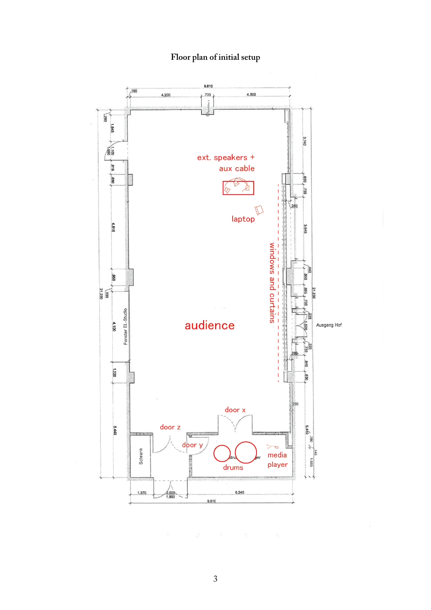# **Floor plan of initial setup**



3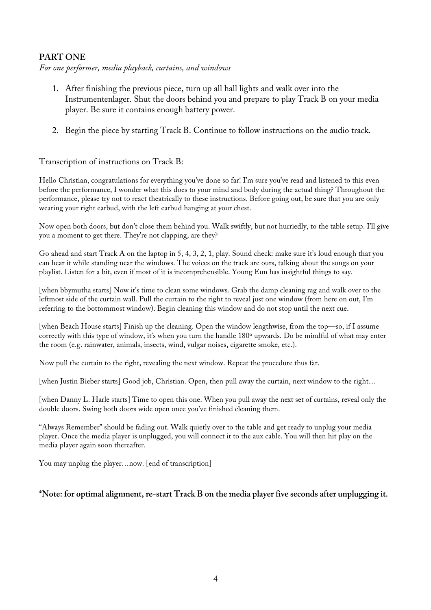## **PART ONE**

*For one performer, media playback, curtains, and windows*

- 1. After finishing the previous piece, turn up all hall lights and walk over into the Instrumentenlager. Shut the doors behind you and prepare to play Track B on your media player. Be sure it contains enough battery power.
- 2. Begin the piece by starting Track B. Continue to follow instructions on the audio track.

#### Transcription of instructions on Track B:

Hello Christian, congratulations for everything you've done so far! I'm sure you've read and listened to this even before the performance, I wonder what this does to your mind and body during the actual thing? Throughout the performance, please try not to react theatrically to these instructions. Before going out, be sure that you are only wearing your right earbud, with the left earbud hanging at your chest.

Now open both doors, but don't close them behind you. Walk swiftly, but not hurriedly, to the table setup. I'll give you a moment to get there. They're not clapping, are they?

Go ahead and start Track A on the laptop in 5, 4, 3, 2, 1, play. Sound check: make sure it's loud enough that you can hear it while standing near the windows. The voices on the track are ours, talking about the songs on your playlist. Listen for a bit, even if most of it is incomprehensible. Young Eun has insightful things to say.

[when bbymutha starts] Now it's time to clean some windows. Grab the damp cleaning rag and walk over to the leftmost side of the curtain wall. Pull the curtain to the right to reveal just one window (from here on out, I'm referring to the bottommost window). Begin cleaning this window and do not stop until the next cue.

[when Beach House starts] Finish up the cleaning. Open the window lengthwise, from the top—so, if I assume correctly with this type of window, it's when you turn the handle 180º upwards. Do be mindful of what may enter the room (e.g. rainwater, animals, insects, wind, vulgar noises, cigarette smoke, etc.).

Now pull the curtain to the right, revealing the next window. Repeat the procedure thus far.

[when Justin Bieber starts] Good job, Christian. Open, then pull away the curtain, next window to the right…

[when Danny L. Harle starts] Time to open this one. When you pull away the next set of curtains, reveal only the double doors. Swing both doors wide open once you've finished cleaning them.

"Always Remember" should be fading out. Walk quietly over to the table and get ready to unplug your media player. Once the media player is unplugged, you will connect it to the aux cable. You will then hit play on the media player again soon thereafter.

You may unplug the player…now. [end of transcription]

#### **\*Note: for optimal alignment, re-start Track B on the media player five seconds after unplugging it.**